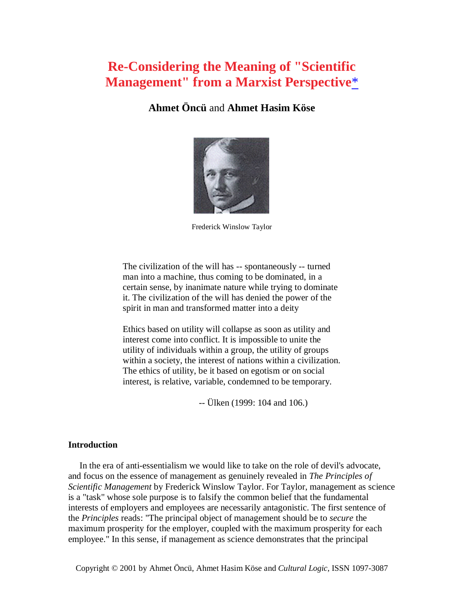# **Re-Considering the Meaning of "Scientific Management" from a Marxist Perspective**[\\*](#page-14-0)

# **Ahmet Öncü** and **Ahmet Hasim Köse**

<span id="page-0-0"></span>

Frederick Winslow Taylor

The civilization of the will has -- spontaneously -- turned man into a machine, thus coming to be dominated, in a certain sense, by inanimate nature while trying to dominate it. The civilization of the will has denied the power of the spirit in man and transformed matter into a deity

Ethics based on utility will collapse as soon as utility and interest come into conflict. It is impossible to unite the utility of individuals within a group, the utility of groups within a society, the interest of nations within a civilization. The ethics of utility, be it based on egotism or on social interest, is relative, variable, condemned to be temporary.

-- Ülken (1999: 104 and 106.)

#### **Introduction**

 In the era of anti-essentialism we would like to take on the role of devil's advocate, and focus on the essence of management as genuinely revealed in *The Principles of Scientific Management* by Frederick Winslow Taylor. For Taylor, management as science is a "task" whose sole purpose is to falsify the common belief that the fundamental interests of employers and employees are necessarily antagonistic. The first sentence of the *Principles* reads: "The principal object of management should be to *secure* the maximum prosperity for the employer, coupled with the maximum prosperity for each employee." In this sense, if management as science demonstrates that the principal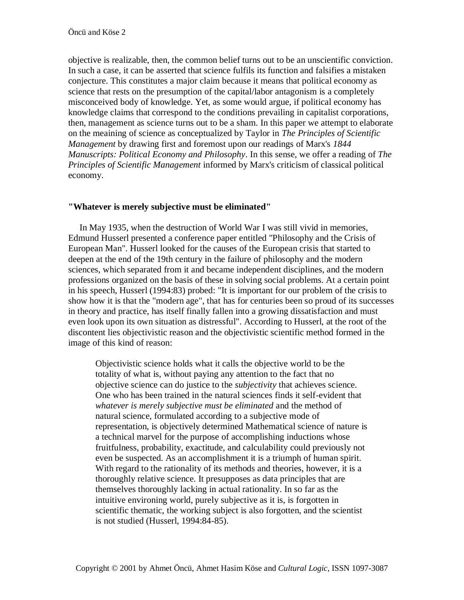objective is realizable, then, the common belief turns out to be an unscientific conviction. In such a case, it can be asserted that science fulfils its function and falsifies a mistaken conjecture. This constitutes a major claim because it means that political economy as science that rests on the presumption of the capital/labor antagonism is a completely misconceived body of knowledge. Yet, as some would argue, if political economy has knowledge claims that correspond to the conditions prevailing in capitalist corporations, then, management as science turns out to be a sham. In this paper we attempt to elaborate on the meaining of science as conceptualized by Taylor in *The Principles of Scientific Management* by drawing first and foremost upon our readings of Marx's *1844 Manuscripts: Political Economy and Philosophy*. In this sense, we offer a reading of *The Principles of Scientific Management* informed by Marx's criticism of classical political economy.

### **"Whatever is merely subjective must be eliminated"**

 In May 1935, when the destruction of World War I was still vivid in memories, Edmund Husserl presented a conference paper entitled "Philosophy and the Crisis of European Man". Husserl looked for the causes of the European crisis that started to deepen at the end of the 19th century in the failure of philosophy and the modern sciences, which separated from it and became independent disciplines, and the modern professions organized on the basis of these in solving social problems. At a certain point in his speech, Husserl (1994:83) probed: "It is important for our problem of the crisis to show how it is that the "modern age", that has for centuries been so proud of its successes in theory and practice, has itself finally fallen into a growing dissatisfaction and must even look upon its own situation as distressful". According to Husserl, at the root of the discontent lies objectivistic reason and the objectivistic scientific method formed in the image of this kind of reason:

Objectivistic science holds what it calls the objective world to be the totality of what is, without paying any attention to the fact that no objective science can do justice to the *subjectivity* that achieves science. One who has been trained in the natural sciences finds it self-evident that *whatever is merely subjective must be eliminated* and the method of natural science, formulated according to a subjective mode of representation, is objectively determined Mathematical science of nature is a technical marvel for the purpose of accomplishing inductions whose fruitfulness, probability, exactitude, and calculability could previously not even be suspected. As an accomplishment it is a triumph of human spirit. With regard to the rationality of its methods and theories, however, it is a thoroughly relative science. It presupposes as data principles that are themselves thoroughly lacking in actual rationality. In so far as the intuitive environing world, purely subjective as it is, is forgotten in scientific thematic, the working subject is also forgotten, and the scientist is not studied (Husserl, 1994:84-85).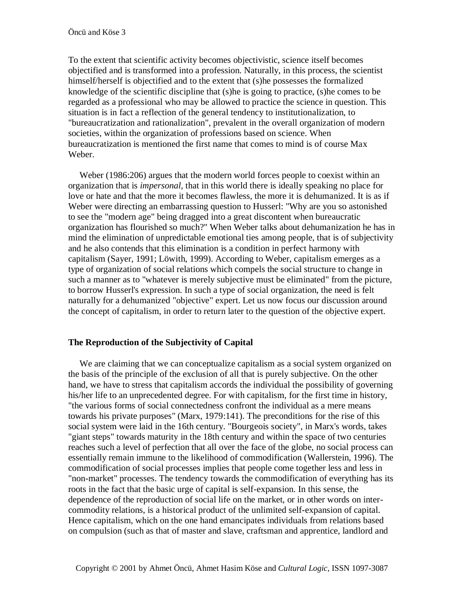To the extent that scientific activity becomes objectivistic, science itself becomes objectified and is transformed into a profession. Naturally, in this process, the scientist himself/herself is objectified and to the extent that (s)he possesses the formalized knowledge of the scientific discipline that (s)he is going to practice, (s)he comes to be regarded as a professional who may be allowed to practice the science in question. This situation is in fact a reflection of the general tendency to institutionalization, to "bureaucratization and rationalization", prevalent in the overall organization of modern societies, within the organization of professions based on science. When bureaucratization is mentioned the first name that comes to mind is of course Max Weber.

 Weber (1986:206) argues that the modern world forces people to coexist within an organization that is *impersonal,* that in this world there is ideally speaking no place for love or hate and that the more it becomes flawless, the more it is dehumanized. It is as if Weber were directing an embarrassing question to Husserl: "Why are you so astonished to see the "modern age" being dragged into a great discontent when bureaucratic organization has flourished so much?" When Weber talks about dehumanization he has in mind the elimination of unpredictable emotional ties among people, that is of subjectivity and he also contends that this elimination is a condition in perfect harmony with capitalism (Sayer, 1991; Löwith, 1999). According to Weber, capitalism emerges as a type of organization of social relations which compels the social structure to change in such a manner as to "whatever is merely subjective must be eliminated" from the picture, to borrow Husserl's expression. In such a type of social organization, the need is felt naturally for a dehumanized "objective" expert. Let us now focus our discussion around the concept of capitalism, in order to return later to the question of the objective expert.

#### **The Reproduction of the Subjectivity of Capital**

 We are claiming that we can conceptualize capitalism as a social system organized on the basis of the principle of the exclusion of all that is purely subjective. On the other hand, we have to stress that capitalism accords the individual the possibility of governing his/her life to an unprecedented degree. For with capitalism, for the first time in history, "the various forms of social connectedness confront the individual as a mere means towards his private purposes" (Marx, 1979:141). The preconditions for the rise of this social system were laid in the 16th century. "Bourgeois society", in Marx's words, takes "giant steps" towards maturity in the 18th century and within the space of two centuries reaches such a level of perfection that all over the face of the globe, no social process can essentially remain immune to the likelihood of commodification (Wallerstein, 1996). The commodification of social processes implies that people come together less and less in "non-market" processes. The tendency towards the commodification of everything has its roots in the fact that the basic urge of capital is self-expansion. In this sense, the dependence of the reproduction of social life on the market, or in other words on intercommodity relations, is a historical product of the unlimited self-expansion of capital. Hence capitalism, which on the one hand emancipates individuals from relations based on compulsion (such as that of master and slave, craftsman and apprentice, landlord and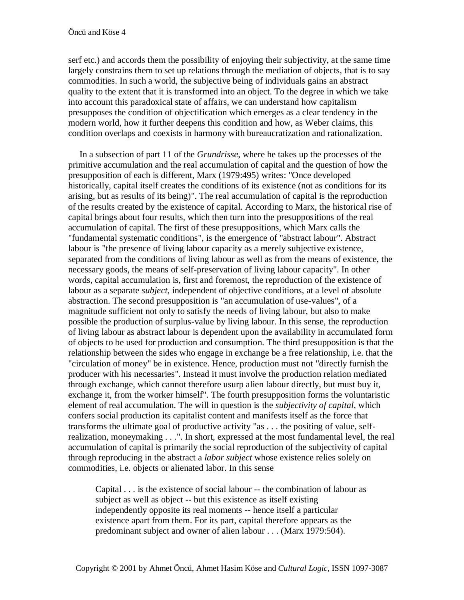serf etc.) and accords them the possibility of enjoying their subjectivity, at the same time largely constrains them to set up relations through the mediation of objects, that is to say commodities. In such a world, the subjective being of individuals gains an abstract quality to the extent that it is transformed into an object. To the degree in which we take into account this paradoxical state of affairs, we can understand how capitalism presupposes the condition of objectification which emerges as a clear tendency in the modern world, how it further deepens this condition and how, as Weber claims, this condition overlaps and coexists in harmony with bureaucratization and rationalization.

 In a subsection of part 11 of the *Grundrisse*, where he takes up the processes of the primitive accumulation and the real accumulation of capital and the question of how the presupposition of each is different, Marx (1979:495) writes: "Once developed historically, capital itself creates the conditions of its existence (not as conditions for its arising, but as results of its being)". The real accumulation of capital is the reproduction of the results created by the existence of capital. According to Marx, the historical rise of capital brings about four results, which then turn into the presuppositions of the real accumulation of capital. The first of these presuppositions, which Marx calls the "fundamental systematic conditions", is the emergence of "abstract labour". Abstract labour is "the presence of living labour capacity as a merely subjective existence, separated from the conditions of living labour as well as from the means of existence, the necessary goods, the means of self-preservation of living labour capacity". In other words, capital accumulation is, first and foremost, the reproduction of the existence of labour as a separate *subject*, independent of objective conditions, at a level of absolute abstraction. The second presupposition is "an accumulation of use-values", of a magnitude sufficient not only to satisfy the needs of living labour, but also to make possible the production of surplus-value by living labour. In this sense, the reproduction of living labour as abstract labour is dependent upon the availability in accumulated form of objects to be used for production and consumption. The third presupposition is that the relationship between the sides who engage in exchange be a free relationship, i.e. that the "circulation of money" be in existence. Hence, production must not "directly furnish the producer with his necessaries". Instead it must involve the production relation mediated through exchange, which cannot therefore usurp alien labour directly, but must buy it, exchange it, from the worker himself". The fourth presupposition forms the voluntaristic element of real accumulation. The will in question is the *subjectivity of capital*, which confers social production its capitalist content and manifests itself as the force that transforms the ultimate goal of productive activity "as . . . the positing of value, selfrealization, moneymaking . . .". In short, expressed at the most fundamental level, the real accumulation of capital is primarily the social reproduction of the subjectivity of capital through reproducing in the abstract a *labor subject* whose existence relies solely on commodities, i.e. objects or alienated labor. In this sense

Capital . . . is the existence of social labour -- the combination of labour as subject as well as object -- but this existence as itself existing independently opposite its real moments -- hence itself a particular existence apart from them. For its part, capital therefore appears as the predominant subject and owner of alien labour . . . (Marx 1979:504).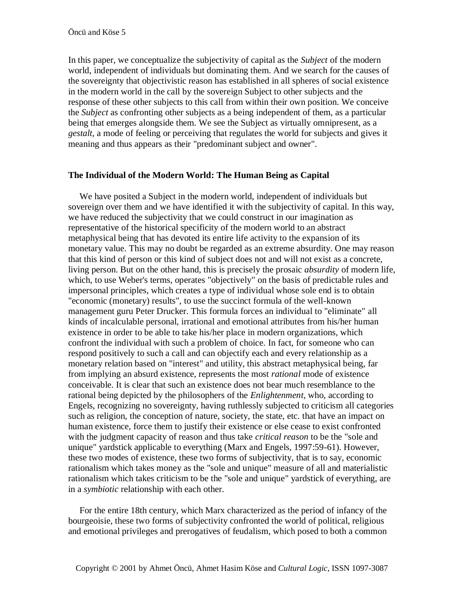In this paper, we conceptualize the subjectivity of capital as the *Subject* of the modern world, independent of individuals but dominating them. And we search for the causes of the sovereignty that objectivistic reason has established in all spheres of social existence in the modern world in the call by the sovereign Subject to other subjects and the response of these other subjects to this call from within their own position. We conceive the *Subject* as confronting other subjects as a being independent of them, as a particular being that emerges alongside them. We see the Subject as virtually omnipresent, as a *gestalt*, a mode of feeling or perceiving that regulates the world for subjects and gives it meaning and thus appears as their "predominant subject and owner".

#### **The Individual of the Modern World: The Human Being as Capital**

 We have posited a Subject in the modern world, independent of individuals but sovereign over them and we have identified it with the subjectivity of capital. In this way, we have reduced the subjectivity that we could construct in our imagination as representative of the historical specificity of the modern world to an abstract metaphysical being that has devoted its entire life activity to the expansion of its monetary value. This may no doubt be regarded as an extreme absurdity. One may reason that this kind of person or this kind of subject does not and will not exist as a concrete, living person. But on the other hand, this is precisely the prosaic *absurdity* of modern life, which, to use Weber's terms, operates "objectively" on the basis of predictable rules and impersonal principles, which creates a type of individual whose sole end is to obtain "economic (monetary) results", to use the succinct formula of the well-known management guru Peter Drucker. This formula forces an individual to "eliminate" all kinds of incalculable personal, irrational and emotional attributes from his/her human existence in order to be able to take his/her place in modern organizations, which confront the individual with such a problem of choice. In fact, for someone who can respond positively to such a call and can objectify each and every relationship as a monetary relation based on "interest" and utility, this abstract metaphysical being, far from implying an absurd existence, represents the most *rational* mode of existence conceivable. It is clear that such an existence does not bear much resemblance to the rational being depicted by the philosophers of the *Enlightenment*, who, according to Engels, recognizing no sovereignty, having ruthlessly subjected to criticism all categories such as religion, the conception of nature, society, the state, etc. that have an impact on human existence, force them to justify their existence or else cease to exist confronted with the judgment capacity of reason and thus take *critical reason* to be the "sole and unique" yardstick applicable to everything (Marx and Engels, 1997:59-61). However, these two modes of existence, these two forms of subjectivity, that is to say, economic rationalism which takes money as the "sole and unique" measure of all and materialistic rationalism which takes criticism to be the "sole and unique" yardstick of everything, are in a *symbiotic* relationship with each other.

 For the entire 18th century, which Marx characterized as the period of infancy of the bourgeoisie, these two forms of subjectivity confronted the world of political, religious and emotional privileges and prerogatives of feudalism, which posed to both a common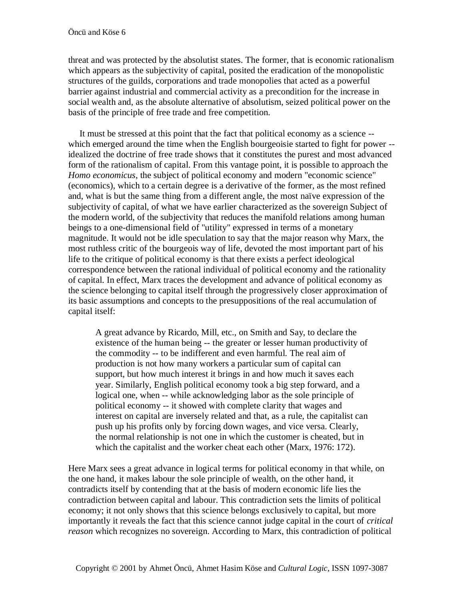threat and was protected by the absolutist states. The former, that is economic rationalism which appears as the subjectivity of capital, posited the eradication of the monopolistic structures of the guilds, corporations and trade monopolies that acted as a powerful barrier against industrial and commercial activity as a precondition for the increase in social wealth and, as the absolute alternative of absolutism, seized political power on the basis of the principle of free trade and free competition.

 It must be stressed at this point that the fact that political economy as a science - which emerged around the time when the English bourgeoisie started to fight for power -idealized the doctrine of free trade shows that it constitutes the purest and most advanced form of the rationalism of capital. From this vantage point, it is possible to approach the *Homo economicus*, the subject of political economy and modern "economic science" (economics), which to a certain degree is a derivative of the former, as the most refined and, what is but the same thing from a different angle, the most naïve expression of the subjectivity of capital, of what we have earlier characterized as the sovereign Subject of the modern world, of the subjectivity that reduces the manifold relations among human beings to a one-dimensional field of "utility" expressed in terms of a monetary magnitude. It would not be idle speculation to say that the major reason why Marx, the most ruthless critic of the bourgeois way of life, devoted the most important part of his life to the critique of political economy is that there exists a perfect ideological correspondence between the rational individual of political economy and the rationality of capital. In effect, Marx traces the development and advance of political economy as the science belonging to capital itself through the progressively closer approximation of its basic assumptions and concepts to the presuppositions of the real accumulation of capital itself:

A great advance by Ricardo, Mill, etc., on Smith and Say, to declare the existence of the human being -- the greater or lesser human productivity of the commodity -- to be indifferent and even harmful. The real aim of production is not how many workers a particular sum of capital can support, but how much interest it brings in and how much it saves each year. Similarly, English political economy took a big step forward, and a logical one, when -- while acknowledging labor as the sole principle of political economy -- it showed with complete clarity that wages and interest on capital are inversely related and that, as a rule, the capitalist can push up his profits only by forcing down wages, and vice versa. Clearly, the normal relationship is not one in which the customer is cheated, but in which the capitalist and the worker cheat each other (Marx, 1976: 172).

Here Marx sees a great advance in logical terms for political economy in that while, on the one hand, it makes labour the sole principle of wealth, on the other hand, it contradicts itself by contending that at the basis of modern economic life lies the contradiction between capital and labour. This contradiction sets the limits of political economy; it not only shows that this science belongs exclusively to capital, but more importantly it reveals the fact that this science cannot judge capital in the court of *critical reason* which recognizes no sovereign. According to Marx, this contradiction of political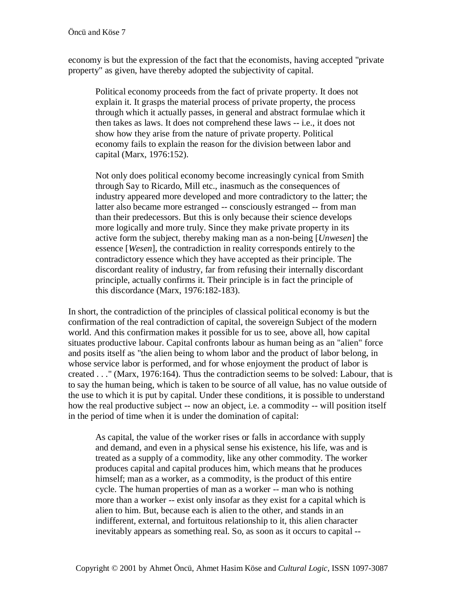economy is but the expression of the fact that the economists, having accepted "private property" as given, have thereby adopted the subjectivity of capital.

Political economy proceeds from the fact of private property. It does not explain it. It grasps the material process of private property, the process through which it actually passes, in general and abstract formulae which it then takes as laws. It does not comprehend these laws -- i.e., it does not show how they arise from the nature of private property. Political economy fails to explain the reason for the division between labor and capital (Marx, 1976:152).

Not only does political economy become increasingly cynical from Smith through Say to Ricardo, Mill etc., inasmuch as the consequences of industry appeared more developed and more contradictory to the latter; the latter also became more estranged -- consciously estranged -- from man than their predecessors. But this is only because their science develops more logically and more truly. Since they make private property in its active form the subject, thereby making man as a non-being [*Unwesen*] the essence [*Wesen*], the contradiction in reality corresponds entirely to the contradictory essence which they have accepted as their principle. The discordant reality of industry, far from refusing their internally discordant principle, actually confirms it. Their principle is in fact the principle of this discordance (Marx, 1976:182-183).

In short, the contradiction of the principles of classical political economy is but the confirmation of the real contradiction of capital, the sovereign Subject of the modern world. And this confirmation makes it possible for us to see, above all, how capital situates productive labour. Capital confronts labour as human being as an "alien" force and posits itself as "the alien being to whom labor and the product of labor belong, in whose service labor is performed, and for whose enjoyment the product of labor is created . . ." (Marx, 1976:164). Thus the contradiction seems to be solved: Labour, that is to say the human being, which is taken to be source of all value, has no value outside of the use to which it is put by capital. Under these conditions, it is possible to understand how the real productive subject -- now an object, i.e. a commodity -- will position itself in the period of time when it is under the domination of capital:

As capital, the value of the worker rises or falls in accordance with supply and demand, and even in a physical sense his existence, his life, was and is treated as a supply of a commodity, like any other commodity. The worker produces capital and capital produces him, which means that he produces himself; man as a worker, as a commodity, is the product of this entire cycle. The human properties of man as a worker -- man who is nothing more than a worker -- exist only insofar as they exist for a capital which is alien to him. But, because each is alien to the other, and stands in an indifferent, external, and fortuitous relationship to it, this alien character inevitably appears as something real. So, as soon as it occurs to capital --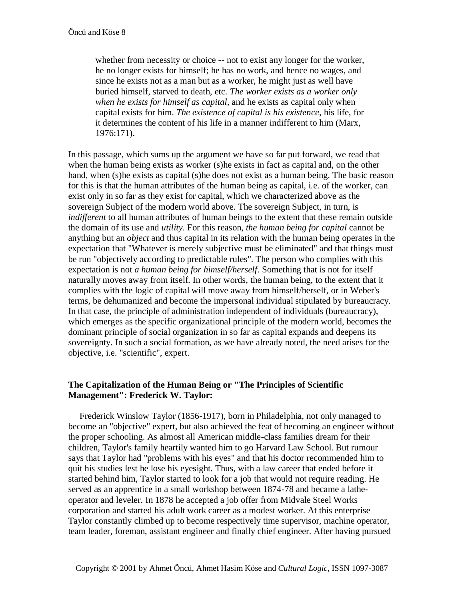whether from necessity or choice -- not to exist any longer for the worker, he no longer exists for himself; he has no work, and hence no wages, and since he exists not as a man but as a worker, he might just as well have buried himself, starved to death, etc. *The worker exists as a worker only when he exists for himself as capital*, and he exists as capital only when capital exists for him. *The existence of capital is his existence*, his life, for it determines the content of his life in a manner indifferent to him (Marx, 1976:171).

In this passage, which sums up the argument we have so far put forward, we read that when the human being exists as worker (s)he exists in fact as capital and, on the other hand, when (s)he exists as capital (s)he does not exist as a human being. The basic reason for this is that the human attributes of the human being as capital, i.e. of the worker, can exist only in so far as they exist for capital, which we characterized above as the sovereign Subject of the modern world above. The sovereign Subject, in turn, is *indifferent* to all human attributes of human beings to the extent that these remain outside the domain of its use and *utility*. For this reason, *the human being for capital* cannot be anything but an *object* and thus capital in its relation with the human being operates in the expectation that "Whatever is merely subjective must be eliminated" and that things must be run "objectively according to predictable rules". The person who complies with this expectation is not *a human being for himself/herself*. Something that is not for itself naturally moves away from itself. In other words, the human being, to the extent that it complies with the logic of capital will move away from himself/herself, or in Weber's terms, be dehumanized and become the impersonal individual stipulated by bureaucracy. In that case, the principle of administration independent of individuals (bureaucracy), which emerges as the specific organizational principle of the modern world, becomes the dominant principle of social organization in so far as capital expands and deepens its sovereignty. In such a social formation, as we have already noted, the need arises for the objective, i.e. "scientific", expert.

# **The Capitalization of the Human Being or "The Principles of Scientific Management": Frederick W. Taylor:**

 Frederick Winslow Taylor (1856-1917), born in Philadelphia, not only managed to become an "objective" expert, but also achieved the feat of becoming an engineer without the proper schooling. As almost all American middle-class families dream for their children, Taylor's family heartily wanted him to go Harvard Law School. But rumour says that Taylor had "problems with his eyes" and that his doctor recommended him to quit his studies lest he lose his eyesight. Thus, with a law career that ended before it started behind him, Taylor started to look for a job that would not require reading. He served as an apprentice in a small workshop between 1874-78 and became a latheoperator and leveler. In 1878 he accepted a job offer from Midvale Steel Works corporation and started his adult work career as a modest worker. At this enterprise Taylor constantly climbed up to become respectively time supervisor, machine operator, team leader, foreman, assistant engineer and finally chief engineer. After having pursued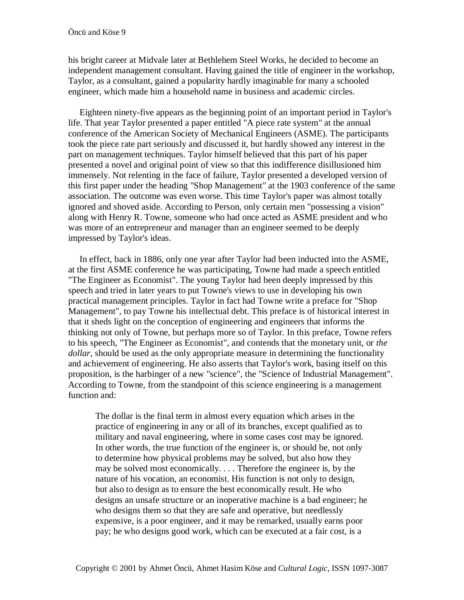his bright career at Midvale later at Bethlehem Steel Works, he decided to become an independent management consultant. Having gained the title of engineer in the workshop, Taylor, as a consultant, gained a popularity hardly imaginable for many a schooled engineer, which made him a household name in business and academic circles.

 Eighteen ninety-five appears as the beginning point of an important period in Taylor's life. That year Taylor presented a paper entitled "A piece rate system" at the annual conference of the American Society of Mechanical Engineers (ASME). The participants took the piece rate part seriously and discussed it, but hardly showed any interest in the part on management techniques. Taylor himself believed that this part of his paper presented a novel and original point of view so that this indifference disillusioned him immensely. Not relenting in the face of failure, Taylor presented a developed version of this first paper under the heading "Shop Management" at the 1903 conference of the same association. The outcome was even worse. This time Taylor's paper was almost totally ignored and shoved aside. According to Person, only certain men "possessing a vision" along with Henry R. Towne, someone who had once acted as ASME president and who was more of an entrepreneur and manager than an engineer seemed to be deeply impressed by Taylor's ideas.

 In effect, back in 1886, only one year after Taylor had been inducted into the ASME, at the first ASME conference he was participating, Towne had made a speech entitled "The Engineer as Economist". The young Taylor had been deeply impressed by this speech and tried in later years to put Towne's views to use in developing his own practical management principles. Taylor in fact had Towne write a preface for "Shop Management", to pay Towne his intellectual debt. This preface is of historical interest in that it sheds light on the conception of engineering and engineers that informs the thinking not only of Towne, but perhaps more so of Taylor. In this preface, Towne refers to his speech, "The Engineer as Economist", and contends that the monetary unit, or *the dollar*, should be used as the only appropriate measure in determining the functionality and achievement of engineering. He also asserts that Taylor's work, basing itself on this proposition, is the harbinger of a new "science", the "Science of Industrial Management". According to Towne, from the standpoint of this science engineering is a management function and:

The dollar is the final term in almost every equation which arises in the practice of engineering in any or all of its branches, except qualified as to military and naval engineering, where in some cases cost may be ignored. In other words, the true function of the engineer is, or should be, not only to determine how physical problems may be solved, but also how they may be solved most economically. . . . Therefore the engineer is, by the nature of his vocation, an economist. His function is not only to design, but also to design as to ensure the best economically result. He who designs an unsafe structure or an inoperative machine is a bad engineer; he who designs them so that they are safe and operative, but needlessly expensive, is a poor engineer, and it may be remarked, usually earns poor pay; he who designs good work, which can be executed at a fair cost, is a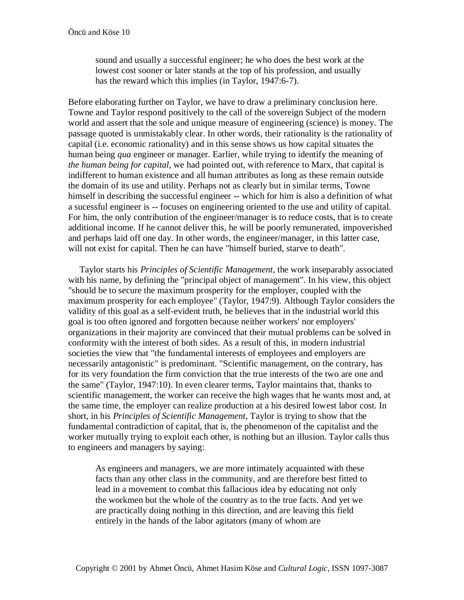sound and usually a successful engineer; he who does the best work at the lowest cost sooner or later stands at the top of his profession, and usually has the reward which this implies (in Taylor, 1947:6-7).

Before elaborating further on Taylor, we have to draw a preliminary conclusion here. Towne and Taylor respond positively to the call of the sovereign Subject of the modern world and assert that the sole and unique measure of engineering (science) is money. The passage quoted is unmistakably clear. In other words, their rationality is the rationality of capital (i.e. economic rationality) and in this sense shows us how capital situates the human being *qua* engineer or manager. Earlier, while trying to identify the meaning of *the human being for capital*, we had pointed out, with reference to Marx, that capital is indifferent to human existence and all human attributes as long as these remain outside the domain of its use and utility. Perhaps not as clearly but in similar terms, Towne himself in describing the successful engineer -- which for him is also a definition of what a sucessful engineer is -- focuses on engineering oriented to the use and utility of capital. For him, the only contribution of the engineer/manager is to reduce costs, that is to create additional income. If he cannot deliver this, he will be poorly remunerated, impoverished and perhaps laid off one day. In other words, the engineer/manager, in this latter case, will not exist for capital. Then he can have "himself buried, starve to death".

 Taylor starts his *Principles of Scientific Management*, the work inseparably associated with his name, by defining the "principal object of management". In his view, this object "should be to secure the maximum prosperity for the employer, coupled with the maximum prosperity for each employee" (Taylor, 1947:9). Although Taylor considers the validity of this goal as a self-evident truth, he believes that in the industrial world this goal is too often ignored and forgotten because neither workers' nor employers' organizations in their majority are convinced that their mutual problems can be solved in conformity with the interest of both sides. As a result of this, in modern industrial societies the view that "the fundamental interests of employees and employers are necessarily antagonistic" is predominant. "Scientific management, on the contrary, has for its very foundation the firm conviction that the true interests of the two are one and the same" (Taylor, 1947:10). In even clearer terms, Taylor maintains that, thanks to scientific management, the worker can receive the high wages that he wants most and, at the same time, the employer can realize production at a his desired lowest labor cost. In short, in his *Principles of Scientific Management*, Taylor is trying to show that the fundamental contradiction of capital, that is, the phenomenon of the capitalist and the worker mutually trying to exploit each other, is nothing but an illusion. Taylor calls thus to engineers and managers by saying:

As engineers and managers, we are more intimately acquainted with these facts than any other class in the community, and are therefore best fitted to lead in a movement to combat this fallacious idea by educating not only the workmen but the whole of the country as to the true facts. And yet we are practically doing nothing in this direction, and are leaving this field entirely in the hands of the labor agitators (many of whom are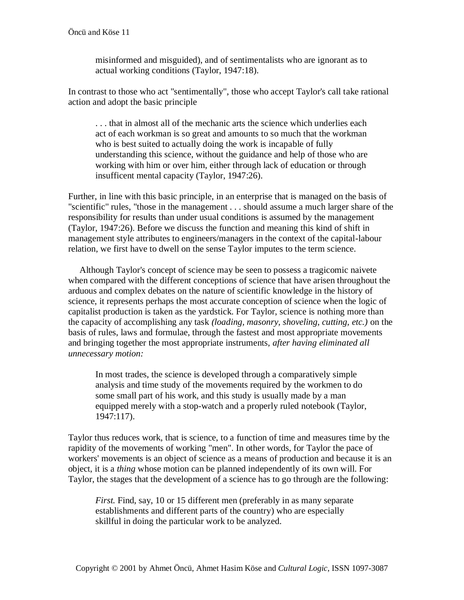misinformed and misguided), and of sentimentalists who are ignorant as to actual working conditions (Taylor, 1947:18).

In contrast to those who act "sentimentally", those who accept Taylor's call take rational action and adopt the basic principle

. . . that in almost all of the mechanic arts the science which underlies each act of each workman is so great and amounts to so much that the workman who is best suited to actually doing the work is incapable of fully understanding this science, without the guidance and help of those who are working with him or over him, either through lack of education or through insufficent mental capacity (Taylor, 1947:26).

Further, in line with this basic principle, in an enterprise that is managed on the basis of "scientific" rules, "those in the management . . . should assume a much larger share of the responsibility for results than under usual conditions is assumed by the management (Taylor, 1947:26). Before we discuss the function and meaning this kind of shift in management style attributes to engineers/managers in the context of the capital-labour relation, we first have to dwell on the sense Taylor imputes to the term science.

 Although Taylor's concept of science may be seen to possess a tragicomic naivete when compared with the different conceptions of science that have arisen throughout the arduous and complex debates on the nature of scientific knowledge in the history of science, it represents perhaps the most accurate conception of science when the logic of capitalist production is taken as the yardstick. For Taylor, science is nothing more than the capacity of accomplishing any task *(loading, masonry, shoveling, cutting, etc.)* on the basis of rules, laws and formulae, through the fastest and most appropriate movements and bringing together the most appropriate instruments, *after having eliminated all unnecessary motion:*

In most trades, the science is developed through a comparatively simple analysis and time study of the movements required by the workmen to do some small part of his work, and this study is usually made by a man equipped merely with a stop-watch and a properly ruled notebook (Taylor, 1947:117).

Taylor thus reduces work, that is science, to a function of time and measures time by the rapidity of the movements of working "men". In other words, for Taylor the pace of workers' movements is an object of science as a means of production and because it is an object, it is a *thing* whose motion can be planned independently of its own will. For Taylor, the stages that the development of a science has to go through are the following:

*First.* Find, say, 10 or 15 different men (preferably in as many separate establishments and different parts of the country) who are especially skillful in doing the particular work to be analyzed.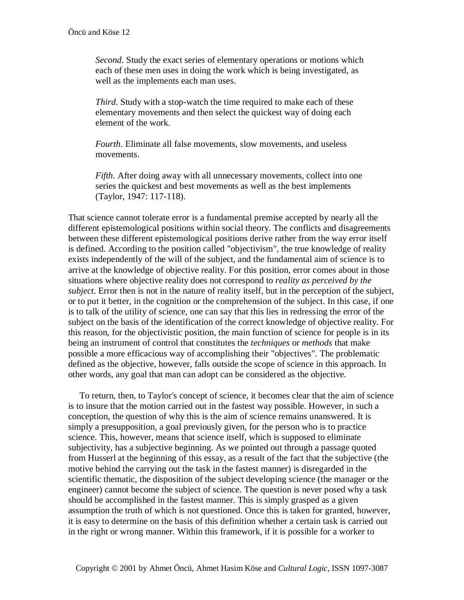*Second*. Study the exact series of elementary operations or motions which each of these men uses in doing the work which is being investigated, as well as the implements each man uses.

*Third*. Study with a stop-watch the time required to make each of these elementary movements and then select the quickest way of doing each element of the work.

*Fourth*. Eliminate all false movements, slow movements, and useless movements.

*Fifth*. After doing away with all unnecessary movements, collect into one series the quickest and best movements as well as the best implements (Taylor, 1947: 117-118).

That science cannot tolerate error is a fundamental premise accepted by nearly all the different epistemological positions within social theory. The conflicts and disagreements between these different epistemological positions derive rather from the way error itself is defined. According to the position called "objectivism", the true knowledge of reality exists independently of the will of the subject, and the fundamental aim of science is to arrive at the knowledge of objective reality. For this position, error comes about in those situations where objective reality does not correspond to *reality as perceived by the subject*. Error then is not in the nature of reality itself, but in the perception of the subject, or to put it better, in the cognition or the comprehension of the subject. In this case, if one is to talk of the utility of science, one can say that this lies in redressing the error of the subject on the basis of the identification of the correct knowledge of objective reality. For this reason, for the objectivistic position, the main function of science for people is in its being an instrument of control that constitutes the *techniques* or *methods* that make possible a more efficacious way of accomplishing their "objectives". The problematic defined as the objective, however, falls outside the scope of science in this approach. In other words, any goal that man can adopt can be considered as the objective.

 To return, then, to Taylor's concept of science, it becomes clear that the aim of science is to insure that the motion carried out in the fastest way possible. However, in such a conception, the question of why this is the aim of science remains unanswered. It is simply a presupposition, a goal previously given, for the person who is to practice science. This, however, means that science itself, which is supposed to eliminate subjectivity, has a subjective beginning. As we pointed out through a passage quoted from Husserl at the beginning of this essay, as a result of the fact that the subjective (the motive behind the carrying out the task in the fastest manner) is disregarded in the scientific thematic, the disposition of the subject developing science (the manager or the engineer) cannot become the subject of science. The question is never posed why a task should be accomplished in the fastest manner. This is simply grasped as a given assumption the truth of which is not questioned. Once this is taken for granted, however, it is easy to determine on the basis of this definition whether a certain task is carried out in the right or wrong manner. Within this framework, if it is possible for a worker to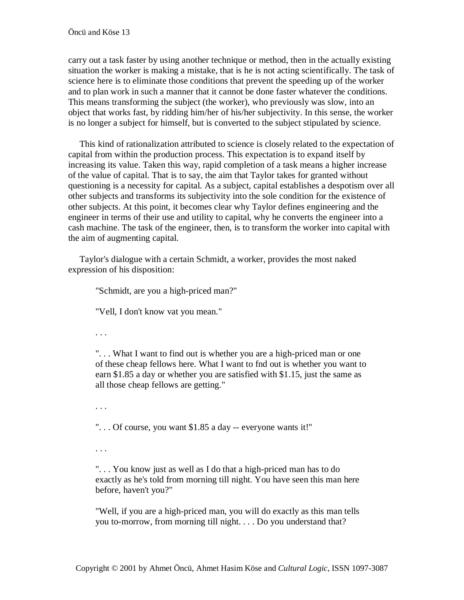carry out a task faster by using another technique or method, then in the actually existing situation the worker is making a mistake, that is he is not acting scientifically. The task of science here is to eliminate those conditions that prevent the speeding up of the worker and to plan work in such a manner that it cannot be done faster whatever the conditions. This means transforming the subject (the worker), who previously was slow, into an object that works fast, by ridding him/her of his/her subjectivity. In this sense, the worker is no longer a subject for himself, but is converted to the subject stipulated by science.

 This kind of rationalization attributed to science is closely related to the expectation of capital from within the production process. This expectation is to expand itself by increasing its value. Taken this way, rapid completion of a task means a higher increase of the value of capital. That is to say, the aim that Taylor takes for granted without questioning is a necessity for capital. As a subject, capital establishes a despotism over all other subjects and transforms its subjectivity into the sole condition for the existence of other subjects. At this point, it becomes clear why Taylor defines engineering and the engineer in terms of their use and utility to capital, why he converts the engineer into a cash machine. The task of the engineer, then, is to transform the worker into capital with the aim of augmenting capital.

 Taylor's dialogue with a certain Schmidt, a worker, provides the most naked expression of his disposition:

"Schmidt, are you a high-priced man?"

"Vell, I don't know vat you mean."

. . .

". . . What I want to find out is whether you are a high-priced man or one of these cheap fellows here. What I want to fnd out is whether you want to earn \$1.85 a day or whether you are satisfied with \$1.15, just the same as all those cheap fellows are getting."

. . .

". . . Of course, you want \$1.85 a day -- everyone wants it!"

. . .

". . . You know just as well as I do that a high-priced man has to do exactly as he's told from morning till night. You have seen this man here before, haven't you?"

"Well, if you are a high-priced man, you will do exactly as this man tells you to-morrow, from morning till night. . . . Do you understand that?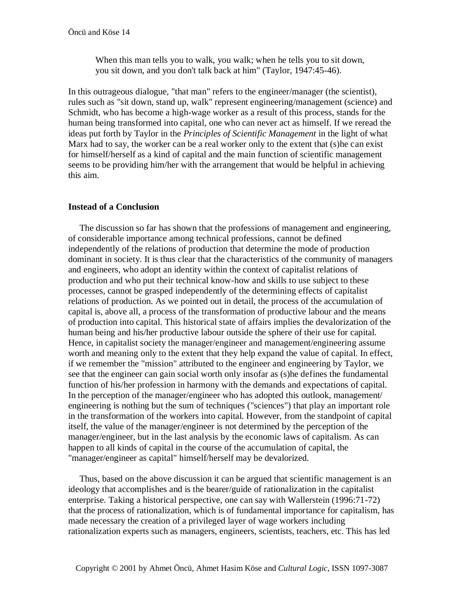When this man tells you to walk, you walk; when he tells you to sit down, you sit down, and you don't talk back at him" (Taylor, 1947:45-46).

In this outrageous dialogue, "that man" refers to the engineer/manager (the scientist), rules such as "sit down, stand up, walk" represent engineering/management (science) and Schmidt, who has become a high-wage worker as a result of this process, stands for the human being transformed into capital, one who can never act as himself. If we reread the ideas put forth by Taylor in the *Principles of Scientific Management* in the light of what Marx had to say, the worker can be a real worker only to the extent that (s)he can exist for himself/herself as a kind of capital and the main function of scientific management seems to be providing him/her with the arrangement that would be helpful in achieving this aim.

#### **Instead of a Conclusion**

 The discussion so far has shown that the professions of management and engineering, of considerable importance among technical professions, cannot be defined independently of the relations of production that determine the mode of production dominant in society. It is thus clear that the characteristics of the community of managers and engineers, who adopt an identity within the context of capitalist relations of production and who put their technical know-how and skills to use subject to these processes, cannot be grasped independently of the determining effects of capitalist relations of production. As we pointed out in detail, the process of the accumulation of capital is, above all, a process of the transformation of productive labour and the means of production into capital. This historical state of affairs implies the devalorization of the human being and his/her productive labour outside the sphere of their use for capital. Hence, in capitalist society the manager/engineer and management/engineering assume worth and meaning only to the extent that they help expand the value of capital. In effect, if we remember the "mission" attributed to the engineer and engineering by Taylor, we see that the engineer can gain social worth only insofar as (s)he defines the fundamental function of his/her profession in harmony with the demands and expectations of capital. In the perception of the manager/engineer who has adopted this outlook, management/ engineering is nothing but the sum of techniques ("sciences") that play an important role in the transformation of the workers into capital. However, from the standpoint of capital itself, the value of the manager/engineer is not determined by the perception of the manager/engineer, but in the last analysis by the economic laws of capitalism. As can happen to all kinds of capital in the course of the accumulation of capital, the "manager/engineer as capital" himself/herself may be devalorized.

 Thus, based on the above discussion it can be argued that scientific management is an ideology that accomplishes and is the bearer/guide of rationalization in the capitalist enterprise. Taking a historical perspective, one can say with Wallerstein (1996:71-72) that the process of rationalization, which is of fundamental importance for capitalism, has made necessary the creation of a privileged layer of wage workers including rationalization experts such as managers, engineers, scientists, teachers, etc. This has led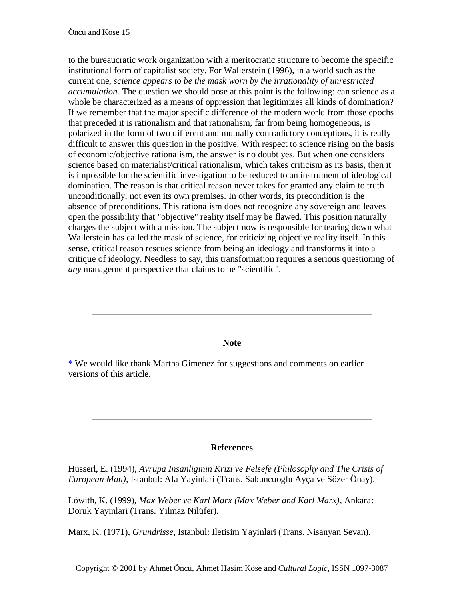to the bureaucratic work organization with a meritocratic structure to become the specific institutional form of capitalist society. For Wallerstein (1996), in a world such as the current one, *science appears to be the mask worn by the irrationality of unrestricted accumulation.* The question we should pose at this point is the following: can science as a whole be characterized as a means of oppression that legitimizes all kinds of domination? If we remember that the major specific difference of the modern world from those epochs that preceded it is rationalism and that rationalism, far from being homogeneous, is polarized in the form of two different and mutually contradictory conceptions, it is really difficult to answer this question in the positive. With respect to science rising on the basis of economic/objective rationalism, the answer is no doubt yes. But when one considers science based on materialist/critical rationalism, which takes criticism as its basis, then it is impossible for the scientific investigation to be reduced to an instrument of ideological domination. The reason is that critical reason never takes for granted any claim to truth unconditionally, not even its own premises. In other words, its precondition is the absence of preconditions. This rationalism does not recognize any sovereign and leaves open the possibility that "objective" reality itself may be flawed. This position naturally charges the subject with a mission. The subject now is responsible for tearing down what Wallerstein has called the mask of science, for criticizing objective reality itself. In this sense, critical reason rescues science from being an ideology and transforms it into a critique of ideology. Needless to say, this transformation requires a serious questioning of *any* management perspective that claims to be "scientific".

#### **Note**

<span id="page-14-0"></span>[\\*](#page-0-0) We would like thank Martha Gimenez for suggestions and comments on earlier versions of this article.

## **References**

Husserl, E. (1994), *Avrupa Insanliginin Krizi ve Felsefe (Philosophy and The Crisis of European Man)*, Istanbul: Afa Yayinlari (Trans. Sabuncuoglu Ayça ve Sözer Önay).

Löwith, K. (1999), *Max Weber ve Karl Marx (Max Weber and Karl Marx)*, Ankara: Doruk Yayinlari (Trans. Yilmaz Nilüfer).

Marx, K. (1971), *Grundrisse*, Istanbul: Iletisim Yayinlari (Trans. Nisanyan Sevan).